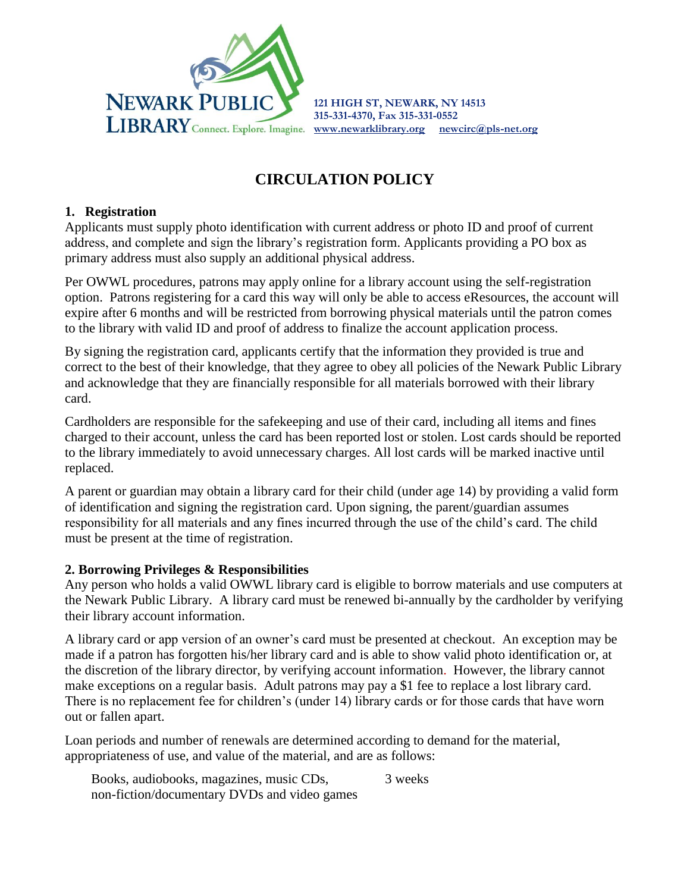

**121 HIGH ST, NEWARK, NY 14513 315-331-4370, Fax 315-331-0552**

# **CIRCULATION POLICY**

#### **1. Registration**

Applicants must supply photo identification with current address or photo ID and proof of current address, and complete and sign the library's registration form. Applicants providing a PO box as primary address must also supply an additional physical address.

Per OWWL procedures, patrons may apply online for a library account using the self-registration option. Patrons registering for a card this way will only be able to access eResources, the account will expire after 6 months and will be restricted from borrowing physical materials until the patron comes to the library with valid ID and proof of address to finalize the account application process.

By signing the registration card, applicants certify that the information they provided is true and correct to the best of their knowledge, that they agree to obey all policies of the Newark Public Library and acknowledge that they are financially responsible for all materials borrowed with their library card.

Cardholders are responsible for the safekeeping and use of their card, including all items and fines charged to their account, unless the card has been reported lost or stolen. Lost cards should be reported to the library immediately to avoid unnecessary charges. All lost cards will be marked inactive until replaced.

A parent or guardian may obtain a library card for their child (under age 14) by providing a valid form of identification and signing the registration card. Upon signing, the parent/guardian assumes responsibility for all materials and any fines incurred through the use of the child's card. The child must be present at the time of registration.

#### **2. Borrowing Privileges & Responsibilities**

Any person who holds a valid OWWL library card is eligible to borrow materials and use computers at the Newark Public Library. A library card must be renewed bi-annually by the cardholder by verifying their library account information.

A library card or app version of an owner's card must be presented at checkout. An exception may be made if a patron has forgotten his/her library card and is able to show valid photo identification or, at the discretion of the library director, by verifying account information. However, the library cannot make exceptions on a regular basis. Adult patrons may pay a \$1 fee to replace a lost library card. There is no replacement fee for children's (under 14) library cards or for those cards that have worn out or fallen apart.

Loan periods and number of renewals are determined according to demand for the material, appropriateness of use, and value of the material, and are as follows:

Books, audiobooks, magazines, music CDs, non-fiction/documentary DVDs and video games 3 weeks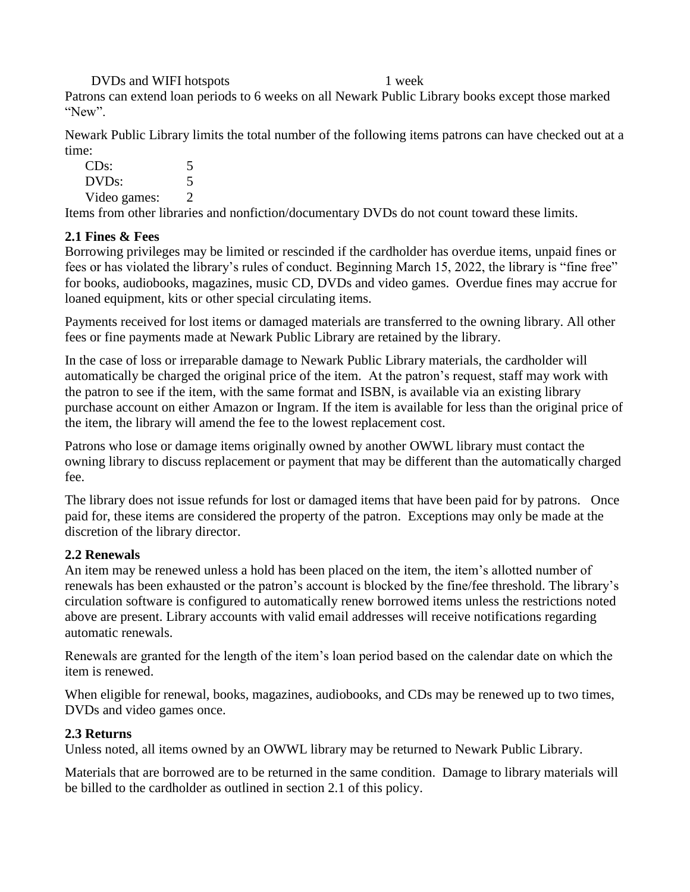DVDs and WIFI hotspots 1 week

Patrons can extend loan periods to 6 weeks on all Newark Public Library books except those marked "New".

Newark Public Library limits the total number of the following items patrons can have checked out at a time:

| CDs:         | 5            |
|--------------|--------------|
| DVDs:        | 5            |
| Video games: | $\mathbf{2}$ |

Items from other libraries and nonfiction/documentary DVDs do not count toward these limits.

## **2.1 Fines & Fees**

Borrowing privileges may be limited or rescinded if the cardholder has overdue items, unpaid fines or fees or has violated the library's rules of conduct. Beginning March 15, 2022, the library is "fine free" for books, audiobooks, magazines, music CD, DVDs and video games. Overdue fines may accrue for loaned equipment, kits or other special circulating items.

Payments received for lost items or damaged materials are transferred to the owning library. All other fees or fine payments made at Newark Public Library are retained by the library.

In the case of loss or irreparable damage to Newark Public Library materials, the cardholder will automatically be charged the original price of the item. At the patron's request, staff may work with the patron to see if the item, with the same format and ISBN, is available via an existing library purchase account on either Amazon or Ingram. If the item is available for less than the original price of the item, the library will amend the fee to the lowest replacement cost.

Patrons who lose or damage items originally owned by another OWWL library must contact the owning library to discuss replacement or payment that may be different than the automatically charged fee.

The library does not issue refunds for lost or damaged items that have been paid for by patrons. Once paid for, these items are considered the property of the patron. Exceptions may only be made at the discretion of the library director.

## **2.2 Renewals**

An item may be renewed unless a hold has been placed on the item, the item's allotted number of renewals has been exhausted or the patron's account is blocked by the fine/fee threshold. The library's circulation software is configured to automatically renew borrowed items unless the restrictions noted above are present. Library accounts with valid email addresses will receive notifications regarding automatic renewals.

Renewals are granted for the length of the item's loan period based on the calendar date on which the item is renewed.

When eligible for renewal, books, magazines, audiobooks, and CDs may be renewed up to two times, DVDs and video games once.

## **2.3 Returns**

Unless noted, all items owned by an OWWL library may be returned to Newark Public Library.

Materials that are borrowed are to be returned in the same condition. Damage to library materials will be billed to the cardholder as outlined in section 2.1 of this policy.